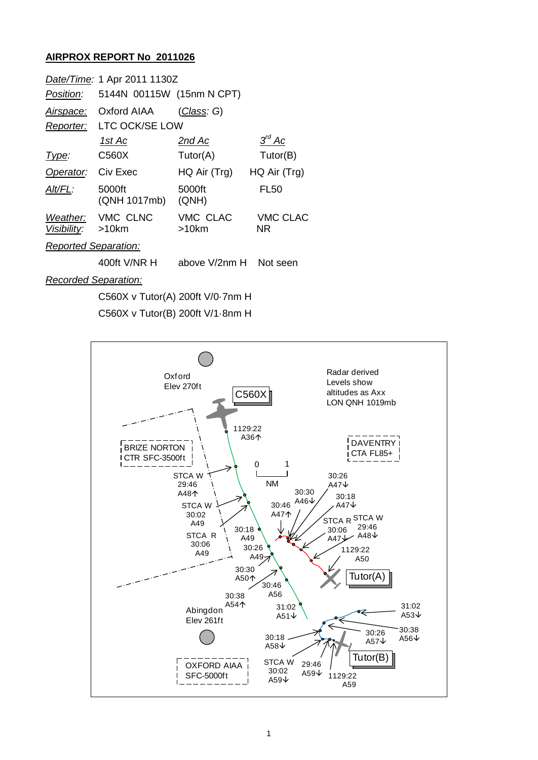## **AIRPROX REPORT No 2011026**

| Date/Time: 1 Apr 2011 1130Z |                               |                        |                |
|-----------------------------|-------------------------------|------------------------|----------------|
| Position:                   | 5144N 00115W (15nm N CPT)     |                        |                |
| <u>Airspace:</u>            | Oxford AIAA                   | ( <i>Class: G</i> )    |                |
|                             | Reporter: LTC OCK/SE LOW      |                        |                |
|                             | 1st Ac                        | 2nd Ac                 | $3^{rd}$ Ac    |
| Type:                       | C560X                         | Tutor(A)               | Tutor(B)       |
| Operator: Civ Exec          |                               | HQ Air (Trg)           | HQ Air (Trg)   |
| Alt/FL:                     | 5000ft<br>(QNH 1017mb)        | 5000ft<br>(QNH)        | FL50           |
| Visibility:                 | Weather: VMC CLNC<br>$>10$ km | VMC CLAC<br>$>10$ km   | VMC CLAC<br>NR |
| <b>Reported Separation:</b> |                               |                        |                |
|                             | 400ft $V/NR$ H                | above V/2nm H Not seen |                |

*Recorded Separation:*

C560X v Tutor(A) 200ft V/0·7nm H C560X v Tutor(B) 200ft V/1·8nm H

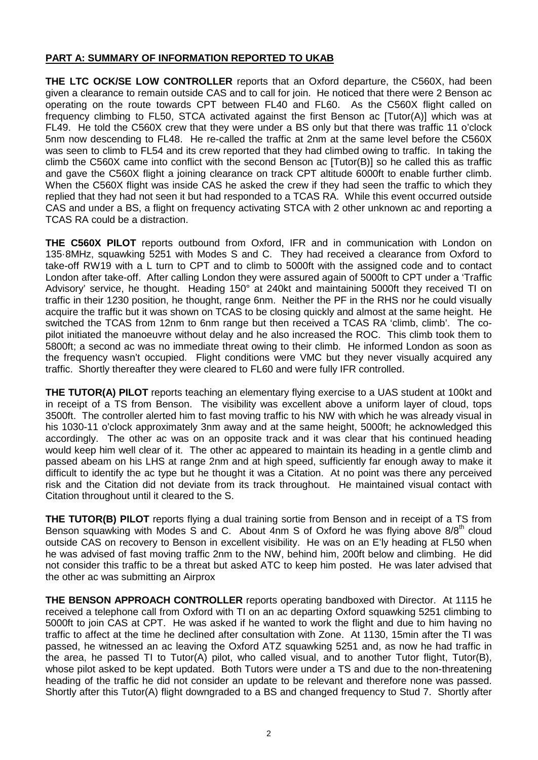## **PART A: SUMMARY OF INFORMATION REPORTED TO UKAB**

**THE LTC OCK/SE LOW CONTROLLER** reports that an Oxford departure, the C560X, had been given a clearance to remain outside CAS and to call for join. He noticed that there were 2 Benson ac operating on the route towards CPT between FL40 and FL60. As the C560X flight called on frequency climbing to FL50, STCA activated against the first Benson ac [Tutor(A)] which was at FL49. He told the C560X crew that they were under a BS only but that there was traffic 11 o'clock 5nm now descending to FL48. He re-called the traffic at 2nm at the same level before the C560X was seen to climb to FL54 and its crew reported that they had climbed owing to traffic. In taking the climb the C560X came into conflict with the second Benson ac [Tutor(B)] so he called this as traffic and gave the C560X flight a joining clearance on track CPT altitude 6000ft to enable further climb. When the C560X flight was inside CAS he asked the crew if they had seen the traffic to which they replied that they had not seen it but had responded to a TCAS RA. While this event occurred outside CAS and under a BS, a flight on frequency activating STCA with 2 other unknown ac and reporting a TCAS RA could be a distraction.

**THE C560X PILOT** reports outbound from Oxford, IFR and in communication with London on 135·8MHz, squawking 5251 with Modes S and C. They had received a clearance from Oxford to take-off RW19 with a L turn to CPT and to climb to 5000ft with the assigned code and to contact London after take-off. After calling London they were assured again of 5000ft to CPT under a 'Traffic Advisory' service, he thought. Heading 150° at 240kt and maintaining 5000ft they received TI on traffic in their 1230 position, he thought, range 6nm. Neither the PF in the RHS nor he could visually acquire the traffic but it was shown on TCAS to be closing quickly and almost at the same height. He switched the TCAS from 12nm to 6nm range but then received a TCAS RA 'climb, climb'. The copilot initiated the manoeuvre without delay and he also increased the ROC. This climb took them to 5800ft; a second ac was no immediate threat owing to their climb. He informed London as soon as the frequency wasn't occupied. Flight conditions were VMC but they never visually acquired any traffic. Shortly thereafter they were cleared to FL60 and were fully IFR controlled.

**THE TUTOR(A) PILOT** reports teaching an elementary flying exercise to a UAS student at 100kt and in receipt of a TS from Benson. The visibility was excellent above a uniform layer of cloud, tops 3500ft. The controller alerted him to fast moving traffic to his NW with which he was already visual in his 1030-11 o'clock approximately 3nm away and at the same height, 5000ft; he acknowledged this accordingly. The other ac was on an opposite track and it was clear that his continued heading would keep him well clear of it. The other ac appeared to maintain its heading in a gentle climb and passed abeam on his LHS at range 2nm and at high speed, sufficiently far enough away to make it difficult to identify the ac type but he thought it was a Citation. At no point was there any perceived risk and the Citation did not deviate from its track throughout. He maintained visual contact with Citation throughout until it cleared to the S.

**THE TUTOR(B) PILOT** reports flying a dual training sortie from Benson and in receipt of a TS from Benson squawking with Modes S and C. About 4nm S of Oxford he was flying above  $8/8<sup>th</sup>$  cloud outside CAS on recovery to Benson in excellent visibility. He was on an E'ly heading at FL50 when he was advised of fast moving traffic 2nm to the NW, behind him, 200ft below and climbing. He did not consider this traffic to be a threat but asked ATC to keep him posted. He was later advised that the other ac was submitting an Airprox

**THE BENSON APPROACH CONTROLLER** reports operating bandboxed with Director. At 1115 he received a telephone call from Oxford with TI on an ac departing Oxford squawking 5251 climbing to 5000ft to join CAS at CPT. He was asked if he wanted to work the flight and due to him having no traffic to affect at the time he declined after consultation with Zone. At 1130, 15min after the TI was passed, he witnessed an ac leaving the Oxford ATZ squawking 5251 and, as now he had traffic in the area, he passed TI to Tutor(A) pilot, who called visual, and to another Tutor flight, Tutor(B), whose pilot asked to be kept updated. Both Tutors were under a TS and due to the non-threatening heading of the traffic he did not consider an update to be relevant and therefore none was passed. Shortly after this Tutor(A) flight downgraded to a BS and changed frequency to Stud 7. Shortly after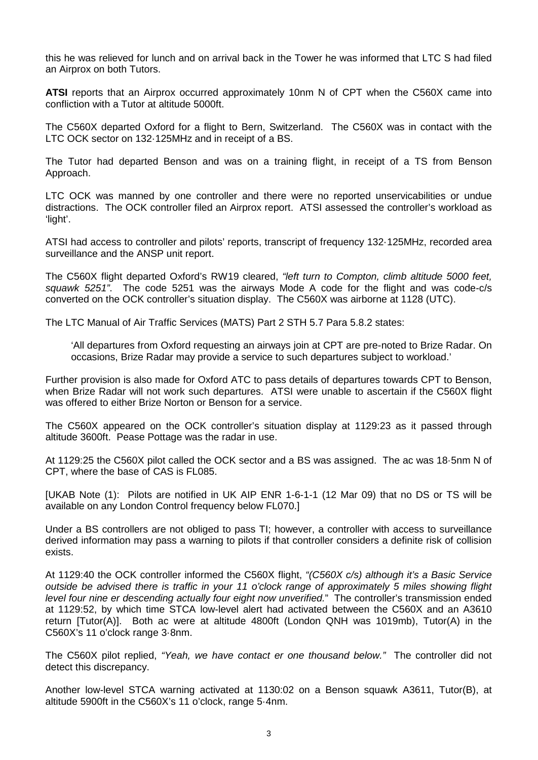this he was relieved for lunch and on arrival back in the Tower he was informed that LTC S had filed an Airprox on both Tutors.

**ATSI** reports that an Airprox occurred approximately 10nm N of CPT when the C560X came into confliction with a Tutor at altitude 5000ft.

The C560X departed Oxford for a flight to Bern, Switzerland. The C560X was in contact with the LTC OCK sector on 132·125MHz and in receipt of a BS.

The Tutor had departed Benson and was on a training flight, in receipt of a TS from Benson Approach.

LTC OCK was manned by one controller and there were no reported unservicabilities or undue distractions. The OCK controller filed an Airprox report. ATSI assessed the controller's workload as 'light'.

ATSI had access to controller and pilots' reports, transcript of frequency 132·125MHz, recorded area surveillance and the ANSP unit report.

The C560X flight departed Oxford's RW19 cleared, *"left turn to Compton, climb altitude 5000 feet, squawk 5251"*. The code 5251 was the airways Mode A code for the flight and was code-c/s converted on the OCK controller's situation display. The C560X was airborne at 1128 (UTC).

The LTC Manual of Air Traffic Services (MATS) Part 2 STH 5.7 Para 5.8.2 states:

'All departures from Oxford requesting an airways join at CPT are pre-noted to Brize Radar. On occasions, Brize Radar may provide a service to such departures subject to workload.'

Further provision is also made for Oxford ATC to pass details of departures towards CPT to Benson, when Brize Radar will not work such departures. ATSI were unable to ascertain if the C560X flight was offered to either Brize Norton or Benson for a service.

The C560X appeared on the OCK controller's situation display at 1129:23 as it passed through altitude 3600ft. Pease Pottage was the radar in use.

At 1129:25 the C560X pilot called the OCK sector and a BS was assigned. The ac was 18·5nm N of CPT, where the base of CAS is FL085.

[UKAB Note (1): Pilots are notified in UK AIP ENR 1-6-1-1 (12 Mar 09) that no DS or TS will be available on any London Control frequency below FL070.]

Under a BS controllers are not obliged to pass TI; however, a controller with access to surveillance derived information may pass a warning to pilots if that controller considers a definite risk of collision exists.

At 1129:40 the OCK controller informed the C560X flight, *"(C560X c/s) although it's a Basic Service outside be advised there is traffic in your 11 o'clock range of approximately 5 miles showing flight level four nine er descending actually four eight now unverified.*" The controller's transmission ended at 1129:52, by which time STCA low-level alert had activated between the C560X and an A3610 return [Tutor(A)]. Both ac were at altitude 4800ft (London QNH was 1019mb), Tutor(A) in the C560X's 11 o'clock range 3·8nm.

The C560X pilot replied, *"Yeah, we have contact er one thousand below."* The controller did not detect this discrepancy.

Another low-level STCA warning activated at 1130:02 on a Benson squawk A3611, Tutor(B), at altitude 5900ft in the C560X's 11 o'clock, range 5·4nm.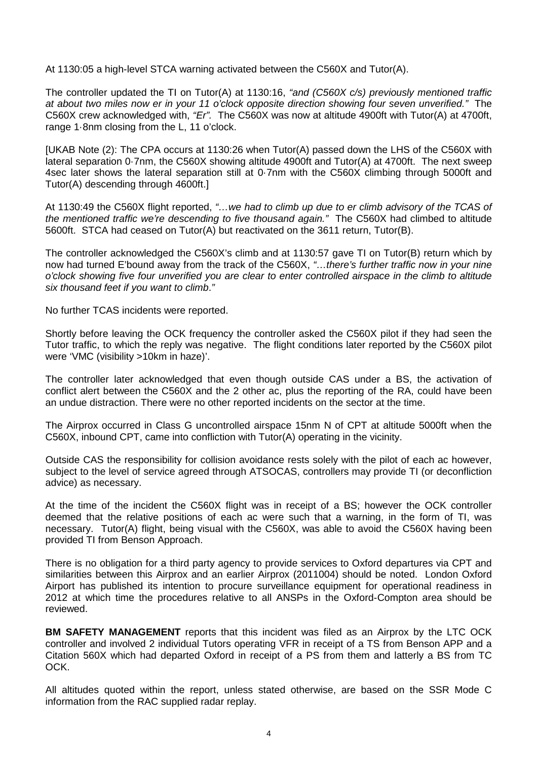At 1130:05 a high-level STCA warning activated between the C560X and Tutor(A).

The controller updated the TI on Tutor(A) at 1130:16, *"and (C560X c/s) previously mentioned traffic at about two miles now er in your 11 o'clock opposite direction showing four seven unverified."* The C560X crew acknowledged with, *"Er".* The C560X was now at altitude 4900ft with Tutor(A) at 4700ft, range 1·8nm closing from the L, 11 o'clock.

[UKAB Note (2): The CPA occurs at 1130:26 when Tutor(A) passed down the LHS of the C560X with lateral separation 0·7nm, the C560X showing altitude 4900ft and Tutor(A) at 4700ft. The next sweep 4sec later shows the lateral separation still at 0·7nm with the C560X climbing through 5000ft and Tutor(A) descending through 4600ft.]

At 1130:49 the C560X flight reported, *"…we had to climb up due to er climb advisory of the TCAS of the mentioned traffic we're descending to five thousand again."* The C560X had climbed to altitude 5600ft. STCA had ceased on Tutor(A) but reactivated on the 3611 return, Tutor(B).

The controller acknowledged the C560X's climb and at 1130:57 gave TI on Tutor(B) return which by now had turned E'bound away from the track of the C560X, *"…there's further traffic now in your nine o'clock showing five four unverified you are clear to enter controlled airspace in the climb to altitude six thousand feet if you want to climb*.*"*

No further TCAS incidents were reported.

Shortly before leaving the OCK frequency the controller asked the C560X pilot if they had seen the Tutor traffic, to which the reply was negative. The flight conditions later reported by the C560X pilot were 'VMC (visibility >10km in haze)'.

The controller later acknowledged that even though outside CAS under a BS, the activation of conflict alert between the C560X and the 2 other ac, plus the reporting of the RA, could have been an undue distraction. There were no other reported incidents on the sector at the time.

The Airprox occurred in Class G uncontrolled airspace 15nm N of CPT at altitude 5000ft when the C560X, inbound CPT, came into confliction with Tutor(A) operating in the vicinity.

Outside CAS the responsibility for collision avoidance rests solely with the pilot of each ac however, subject to the level of service agreed through ATSOCAS, controllers may provide TI (or deconfliction advice) as necessary.

At the time of the incident the C560X flight was in receipt of a BS; however the OCK controller deemed that the relative positions of each ac were such that a warning, in the form of TI, was necessary. Tutor(A) flight, being visual with the C560X, was able to avoid the C560X having been provided TI from Benson Approach.

There is no obligation for a third party agency to provide services to Oxford departures via CPT and similarities between this Airprox and an earlier Airprox (2011004) should be noted. London Oxford Airport has published its intention to procure surveillance equipment for operational readiness in 2012 at which time the procedures relative to all ANSPs in the Oxford-Compton area should be reviewed.

**BM SAFETY MANAGEMENT** reports that this incident was filed as an Airprox by the LTC OCK controller and involved 2 individual Tutors operating VFR in receipt of a TS from Benson APP and a Citation 560X which had departed Oxford in receipt of a PS from them and latterly a BS from TC OCK.

All altitudes quoted within the report, unless stated otherwise, are based on the SSR Mode C information from the RAC supplied radar replay.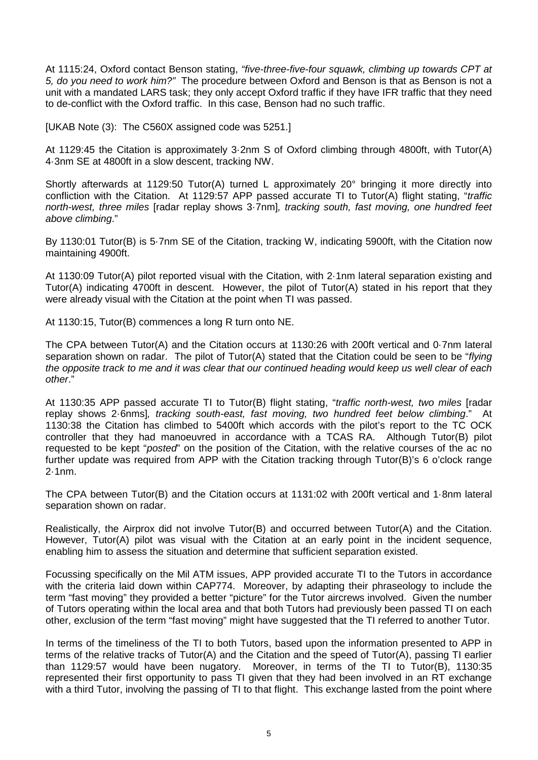At 1115:24, Oxford contact Benson stating, *"five-three-five-four squawk, climbing up towards CPT at 5, do you need to work him?"* The procedure between Oxford and Benson is that as Benson is not a unit with a mandated LARS task; they only accept Oxford traffic if they have IFR traffic that they need to de-conflict with the Oxford traffic. In this case, Benson had no such traffic.

[UKAB Note (3): The C560X assigned code was 5251.]

At 1129:45 the Citation is approximately 3·2nm S of Oxford climbing through 4800ft, with Tutor(A) 4·3nm SE at 4800ft in a slow descent, tracking NW.

Shortly afterwards at 1129:50 Tutor(A) turned L approximately 20° bringing it more directly into confliction with the Citation. At 1129:57 APP passed accurate TI to Tutor(A) flight stating, "*traffic north-west, three miles* [radar replay shows 3·7nm]*, tracking south, fast moving, one hundred feet above climbing*."

By 1130:01 Tutor(B) is 5·7nm SE of the Citation, tracking W, indicating 5900ft, with the Citation now maintaining 4900ft.

At 1130:09 Tutor(A) pilot reported visual with the Citation, with 2·1nm lateral separation existing and Tutor(A) indicating 4700ft in descent. However, the pilot of Tutor(A) stated in his report that they were already visual with the Citation at the point when TI was passed.

At 1130:15, Tutor(B) commences a long R turn onto NE.

The CPA between Tutor(A) and the Citation occurs at 1130:26 with 200ft vertical and 0·7nm lateral separation shown on radar. The pilot of Tutor(A) stated that the Citation could be seen to be "*flying the opposite track to me and it was clear that our continued heading would keep us well clear of each other*."

At 1130:35 APP passed accurate TI to Tutor(B) flight stating, "*traffic north-west, two miles* [radar replay shows 2·6nms]*, tracking south-east, fast moving, two hundred feet below climbing*." At 1130:38 the Citation has climbed to 5400ft which accords with the pilot's report to the TC OCK controller that they had manoeuvred in accordance with a TCAS RA. Although Tutor(B) pilot requested to be kept "*posted*" on the position of the Citation, with the relative courses of the ac no further update was required from APP with the Citation tracking through Tutor(B)'s 6 o'clock range 2·1nm.

The CPA between Tutor(B) and the Citation occurs at 1131:02 with 200ft vertical and 1·8nm lateral separation shown on radar.

Realistically, the Airprox did not involve Tutor(B) and occurred between Tutor(A) and the Citation. However, Tutor(A) pilot was visual with the Citation at an early point in the incident sequence, enabling him to assess the situation and determine that sufficient separation existed.

Focussing specifically on the Mil ATM issues, APP provided accurate TI to the Tutors in accordance with the criteria laid down within CAP774. Moreover, by adapting their phraseology to include the term "fast moving" they provided a better "picture" for the Tutor aircrews involved. Given the number of Tutors operating within the local area and that both Tutors had previously been passed TI on each other, exclusion of the term "fast moving" might have suggested that the TI referred to another Tutor.

In terms of the timeliness of the TI to both Tutors, based upon the information presented to APP in terms of the relative tracks of Tutor(A) and the Citation and the speed of Tutor(A), passing TI earlier than 1129:57 would have been nugatory. Moreover, in terms of the TI to Tutor(B), 1130:35 represented their first opportunity to pass TI given that they had been involved in an RT exchange with a third Tutor, involving the passing of TI to that flight. This exchange lasted from the point where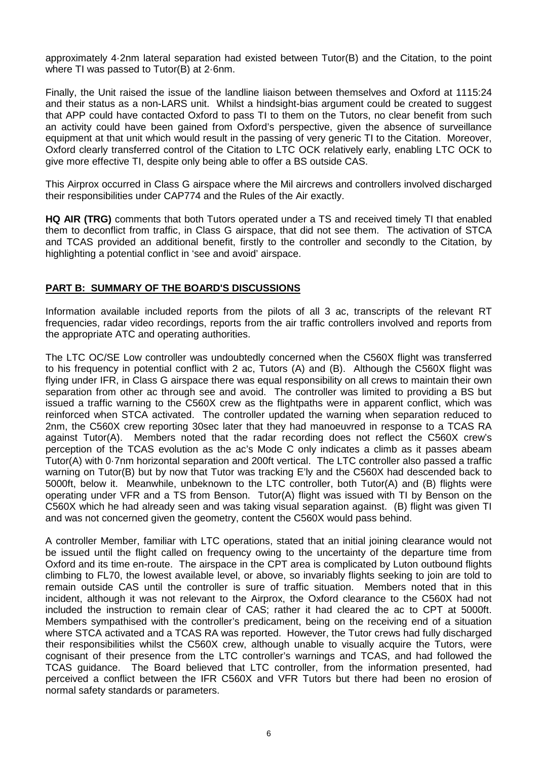approximately 4·2nm lateral separation had existed between Tutor(B) and the Citation, to the point where TI was passed to Tutor(B) at 2·6nm.

Finally, the Unit raised the issue of the landline liaison between themselves and Oxford at 1115:24 and their status as a non-LARS unit. Whilst a hindsight-bias argument could be created to suggest that APP could have contacted Oxford to pass TI to them on the Tutors, no clear benefit from such an activity could have been gained from Oxford's perspective, given the absence of surveillance equipment at that unit which would result in the passing of very generic TI to the Citation. Moreover, Oxford clearly transferred control of the Citation to LTC OCK relatively early, enabling LTC OCK to give more effective TI, despite only being able to offer a BS outside CAS.

This Airprox occurred in Class G airspace where the Mil aircrews and controllers involved discharged their responsibilities under CAP774 and the Rules of the Air exactly.

**HQ AIR (TRG)** comments that both Tutors operated under a TS and received timely TI that enabled them to deconflict from traffic, in Class G airspace, that did not see them. The activation of STCA and TCAS provided an additional benefit, firstly to the controller and secondly to the Citation, by highlighting a potential conflict in 'see and avoid' airspace.

## **PART B: SUMMARY OF THE BOARD'S DISCUSSIONS**

Information available included reports from the pilots of all 3 ac, transcripts of the relevant RT frequencies, radar video recordings, reports from the air traffic controllers involved and reports from the appropriate ATC and operating authorities.

The LTC OC/SE Low controller was undoubtedly concerned when the C560X flight was transferred to his frequency in potential conflict with 2 ac, Tutors (A) and (B). Although the C560X flight was flying under IFR, in Class G airspace there was equal responsibility on all crews to maintain their own separation from other ac through see and avoid. The controller was limited to providing a BS but issued a traffic warning to the C560X crew as the flightpaths were in apparent conflict, which was reinforced when STCA activated. The controller updated the warning when separation reduced to 2nm, the C560X crew reporting 30sec later that they had manoeuvred in response to a TCAS RA against Tutor(A). Members noted that the radar recording does not reflect the C560X crew's perception of the TCAS evolution as the ac's Mode C only indicates a climb as it passes abeam Tutor(A) with 0·7nm horizontal separation and 200ft vertical. The LTC controller also passed a traffic warning on Tutor(B) but by now that Tutor was tracking E'ly and the C560X had descended back to 5000ft, below it. Meanwhile, unbeknown to the LTC controller, both Tutor(A) and (B) flights were operating under VFR and a TS from Benson. Tutor(A) flight was issued with TI by Benson on the C560X which he had already seen and was taking visual separation against. (B) flight was given TI and was not concerned given the geometry, content the C560X would pass behind.

A controller Member, familiar with LTC operations, stated that an initial joining clearance would not be issued until the flight called on frequency owing to the uncertainty of the departure time from Oxford and its time en-route. The airspace in the CPT area is complicated by Luton outbound flights climbing to FL70, the lowest available level, or above, so invariably flights seeking to join are told to remain outside CAS until the controller is sure of traffic situation. Members noted that in this incident, although it was not relevant to the Airprox, the Oxford clearance to the C560X had not included the instruction to remain clear of CAS; rather it had cleared the ac to CPT at 5000ft. Members sympathised with the controller's predicament, being on the receiving end of a situation where STCA activated and a TCAS RA was reported. However, the Tutor crews had fully discharged their responsibilities whilst the C560X crew, although unable to visually acquire the Tutors, were cognisant of their presence from the LTC controller's warnings and TCAS, and had followed the TCAS guidance. The Board believed that LTC controller, from the information presented, had perceived a conflict between the IFR C560X and VFR Tutors but there had been no erosion of normal safety standards or parameters.